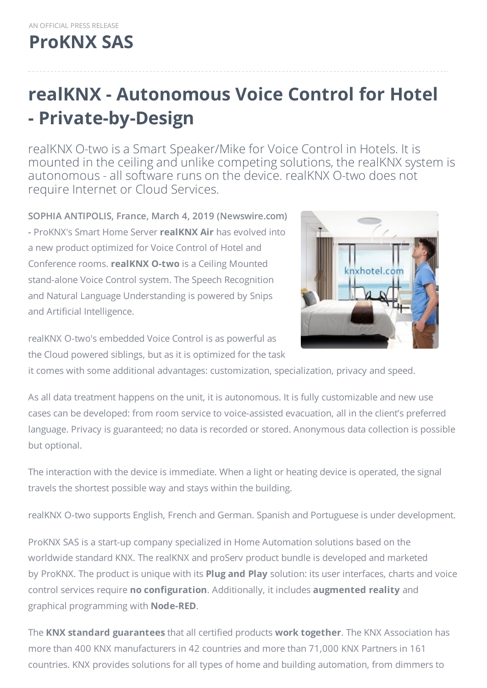## **[ProKNX](https://proknx.com) SAS**

## **realKNX - Autonomous Voice Control for Hotel - Private-by-Design**

realKNX O-two is a Smart Speaker/Mike for Voice Control in Hotels. It is mounted in the ceiling and unlike competing solutions, the realKNX system is autonomous - all software runs on the device. realKNX O-two does not require Internet or Cloud Services.

**SOPHIA ANTIPOLIS, France, March 4, 2019 (Newswire.com) -** ProKNX's Smart Home Server **realKNX Air** has evolved into a new product optimized for Voice Control of Hotel and Conference rooms. **realKNX O-two** is a Ceiling Mounted stand-alone Voice Control system. The Speech Recognition and Natural Language Understanding is powered by Snips and Artificial Intelligence.



realKNX O-two's embedded Voice Control is as powerful as the Cloud powered siblings, but as it is optimized for the task

it comes with some additional advantages: customization, specialization, privacy and speed.

As all data treatment happens on the unit, it is autonomous. It is fully customizable and new use cases can be developed: from room service to voice-assisted evacuation, all in the client's preferred language. Privacy is guaranteed; no data is recorded or stored. Anonymous data collection is possible but optional.

The interaction with the device is immediate. When a light or heating device is operated, the signal travels the shortest possible way and stays within the building.

realKNX O-two supports English, French and German. Spanish and Portuguese is under development.

ProKNX SAS is a start-up company specialized in Home Automation solutions based on the worldwide standard KNX. The realKNX and proServ product bundle is developed and marketed by ProKNX. The product is unique with its **Plug and Play** solution: its user interfaces, charts and voice control services require **no configuration**. Additionally, it includes **augmented reality** and graphical programming with **Node-RED**.

The **KNX standard guarantees** that all certified products **work together**. The KNX Association has more than 400 KNX manufacturers in 42 countries and more than 71,000 KNX Partners in 161 countries. KNX provides solutions for all types of home and building automation, from dimmers to